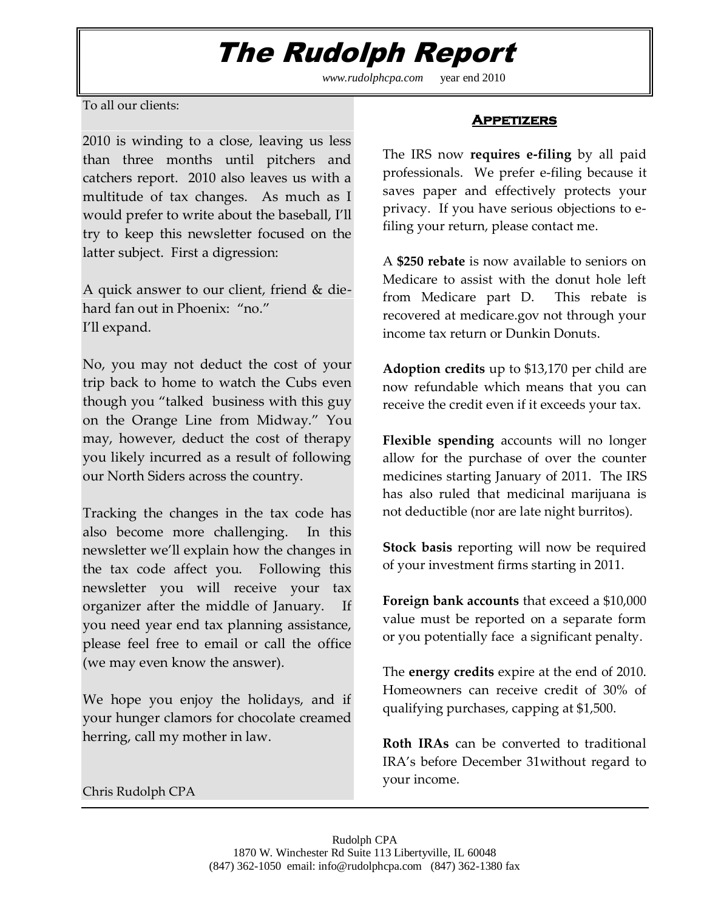## The Rudolph Report

*www.rudolphcpa.com* year end 2010

To all our clients:

2010 is winding to a close, leaving us less than three months until pitchers and catchers report. 2010 also leaves us with a multitude of tax changes. As much as I would prefer to write about the baseball, I'll try to keep this newsletter focused on the latter subject. First a digression:

A quick answer to our client, friend & diehard fan out in Phoenix: "no." I'll expand.

No, you may not deduct the cost of your trip back to home to watch the Cubs even though you "talked business with this guy on the Orange Line from Midway." You may, however, deduct the cost of therapy you likely incurred as a result of following our North Siders across the country.

Tracking the changes in the tax code has also become more challenging. In this newsletter we'll explain how the changes in the tax code affect you. Following this newsletter you will receive your tax organizer after the middle of January. If you need year end tax planning assistance, please feel free to email or call the office (we may even know the answer).

We hope you enjoy the holidays, and if your hunger clamors for chocolate creamed herring, call my mother in law.

Chris Rudolph CPA

## **Appetizers**

The IRS now **requires e-filing** by all paid professionals. We prefer e-filing because it saves paper and effectively protects your privacy. If you have serious objections to efiling your return, please contact me.

A **\$250 rebate** is now available to seniors on Medicare to assist with the donut hole left from Medicare part D. This rebate is recovered at medicare.gov not through your income tax return or Dunkin Donuts.

**Adoption credits** up to \$13,170 per child are now refundable which means that you can receive the credit even if it exceeds your tax.

**Flexible spending** accounts will no longer allow for the purchase of over the counter medicines starting January of 2011. The IRS has also ruled that medicinal marijuana is not deductible (nor are late night burritos).

**Stock basis** reporting will now be required of your investment firms starting in 2011.

**Foreign bank accounts** that exceed a \$10,000 value must be reported on a separate form or you potentially face a significant penalty.

The **energy credits** expire at the end of 2010. Homeowners can receive credit of 30% of qualifying purchases, capping at \$1,500.

**Roth IRAs** can be converted to traditional IRA's before December 31without regard to your income.